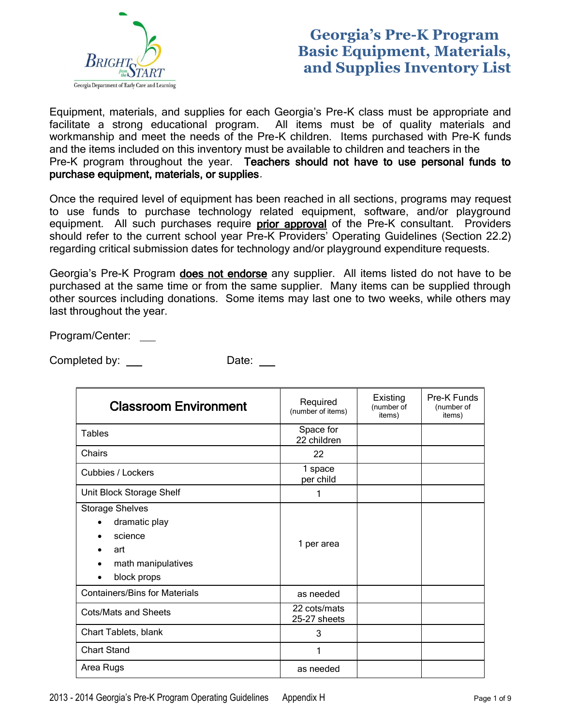

## **Georgia's Pre-K Program Basic Equipment, Materials, and Supplies Inventory List**

Equipment, materials, and supplies for each Georgia's Pre-K class must be appropriate and facilitate a strong educational program. All items must be of quality materials and workmanship and meet the needs of the Pre-K children. Items purchased with Pre-K funds and the items included on this inventory must be available to children and teachers in the Pre-K program throughout the year. Teachers should not have to use personal funds to purchase equipment, materials, or supplies.

Once the required level of equipment has been reached in all sections, programs may request to use funds to purchase technology related equipment, software, and/or playground equipment. All such purchases require prior approval of the Pre-K consultant. Providers should refer to the current school year Pre-K Providers' Operating Guidelines (Section 22.2) regarding critical submission dates for technology and/or playground expenditure requests.

Georgia's Pre-K Program does not endorse any supplier. All items listed do not have to be purchased at the same time or from the same supplier. Many items can be supplied through other sources including donations. Some items may last one to two weeks, while others may last throughout the year.

Program/Center:

Completed by: Date:

| <b>Classroom Environment</b>                                                                                | Required<br>(number of items) | Existing<br>(number of<br>items) | Pre-K Funds<br>(number of<br>items) |
|-------------------------------------------------------------------------------------------------------------|-------------------------------|----------------------------------|-------------------------------------|
| <b>Tables</b>                                                                                               | Space for<br>22 children      |                                  |                                     |
| Chairs                                                                                                      | 22                            |                                  |                                     |
| Cubbies / Lockers                                                                                           | 1 space<br>per child          |                                  |                                     |
| Unit Block Storage Shelf                                                                                    | 1                             |                                  |                                     |
| <b>Storage Shelves</b><br>dramatic play<br>science<br>art<br>math manipulatives<br>block props<br>$\bullet$ | 1 per area                    |                                  |                                     |
| <b>Containers/Bins for Materials</b>                                                                        | as needed                     |                                  |                                     |
| Cots/Mats and Sheets                                                                                        | 22 cots/mats<br>25-27 sheets  |                                  |                                     |
| Chart Tablets, blank                                                                                        | 3                             |                                  |                                     |
| <b>Chart Stand</b>                                                                                          |                               |                                  |                                     |
| Area Rugs                                                                                                   | as needed                     |                                  |                                     |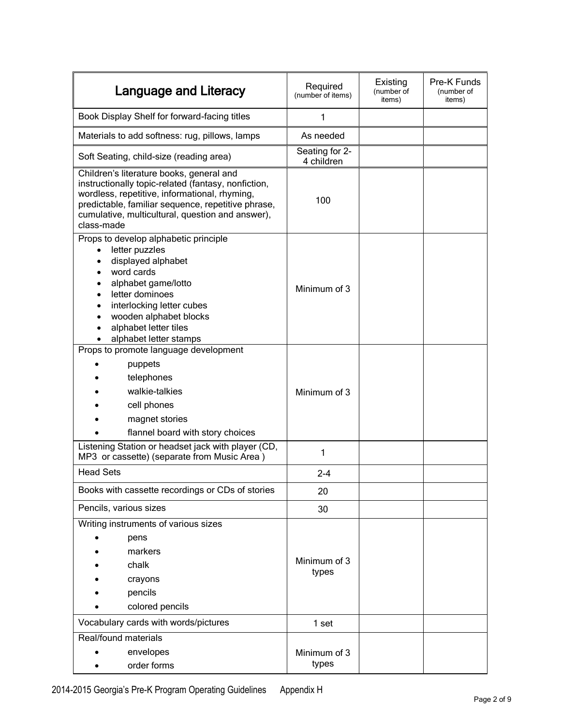| Language and Literacy                                                                                                                                                                                                                                                    | Required<br>(number of items) | Existing<br>(number of<br>items) | Pre-K Funds<br>(number of<br>items) |
|--------------------------------------------------------------------------------------------------------------------------------------------------------------------------------------------------------------------------------------------------------------------------|-------------------------------|----------------------------------|-------------------------------------|
| Book Display Shelf for forward-facing titles                                                                                                                                                                                                                             | 1                             |                                  |                                     |
| Materials to add softness: rug, pillows, lamps                                                                                                                                                                                                                           | As needed                     |                                  |                                     |
| Soft Seating, child-size (reading area)                                                                                                                                                                                                                                  | Seating for 2-<br>4 children  |                                  |                                     |
| Children's literature books, general and<br>instructionally topic-related (fantasy, nonfiction,<br>wordless, repetitive, informational, rhyming,<br>predictable, familiar sequence, repetitive phrase,<br>cumulative, multicultural, question and answer),<br>class-made | 100                           |                                  |                                     |
| Props to develop alphabetic principle<br>letter puzzles<br>$\bullet$<br>displayed alphabet<br>word cards<br>alphabet game/lotto<br>letter dominoes<br>interlocking letter cubes<br>wooden alphabet blocks<br>alphabet letter tiles<br>alphabet letter stamps             | Minimum of 3                  |                                  |                                     |
| Props to promote language development<br>puppets<br>telephones<br>walkie-talkies<br>cell phones<br>magnet stories<br>flannel board with story choices                                                                                                                    | Minimum of 3                  |                                  |                                     |
| Listening Station or headset jack with player (CD,<br>MP3 or cassette) (separate from Music Area)                                                                                                                                                                        | 1                             |                                  |                                     |
| <b>Head Sets</b>                                                                                                                                                                                                                                                         | $2 - 4$                       |                                  |                                     |
| Books with cassette recordings or CDs of stories                                                                                                                                                                                                                         | 20                            |                                  |                                     |
| Pencils, various sizes                                                                                                                                                                                                                                                   | 30                            |                                  |                                     |
| Writing instruments of various sizes<br>pens<br>markers<br>chalk<br>crayons<br>pencils<br>colored pencils                                                                                                                                                                | Minimum of 3<br>types         |                                  |                                     |
| Vocabulary cards with words/pictures                                                                                                                                                                                                                                     | 1 set                         |                                  |                                     |
| Real/found materials<br>envelopes<br>order forms                                                                                                                                                                                                                         | Minimum of 3<br>types         |                                  |                                     |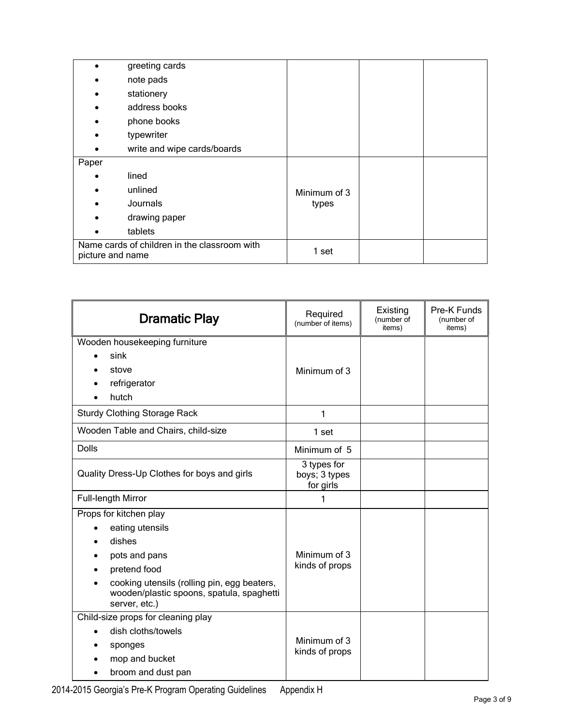|                  | greeting cards                               |              |  |
|------------------|----------------------------------------------|--------------|--|
|                  | note pads                                    |              |  |
|                  | stationery                                   |              |  |
|                  | address books                                |              |  |
|                  | phone books                                  |              |  |
|                  | typewriter                                   |              |  |
|                  | write and wipe cards/boards                  |              |  |
| Paper            |                                              |              |  |
|                  | lined                                        |              |  |
|                  | unlined                                      | Minimum of 3 |  |
|                  | Journals                                     | types        |  |
|                  | drawing paper                                |              |  |
|                  | tablets                                      |              |  |
| picture and name | Name cards of children in the classroom with | 1 set        |  |

| <b>Dramatic Play</b>                                                                                                                                                                              | Required<br>(number of items)             | Existing<br>(number of<br>items) | Pre-K Funds<br>(number of<br>items) |
|---------------------------------------------------------------------------------------------------------------------------------------------------------------------------------------------------|-------------------------------------------|----------------------------------|-------------------------------------|
| Wooden housekeeping furniture<br>sink<br>stove<br>refrigerator<br>hutch                                                                                                                           | Minimum of 3                              |                                  |                                     |
| <b>Sturdy Clothing Storage Rack</b>                                                                                                                                                               | 1                                         |                                  |                                     |
| Wooden Table and Chairs, child-size                                                                                                                                                               | 1 set                                     |                                  |                                     |
| <b>Dolls</b>                                                                                                                                                                                      | Minimum of 5                              |                                  |                                     |
| Quality Dress-Up Clothes for boys and girls                                                                                                                                                       | 3 types for<br>boys; 3 types<br>for girls |                                  |                                     |
| Full-length Mirror                                                                                                                                                                                | 1                                         |                                  |                                     |
| Props for kitchen play<br>eating utensils<br>dishes<br>pots and pans<br>pretend food<br>cooking utensils (rolling pin, egg beaters,<br>wooden/plastic spoons, spatula, spaghetti<br>server, etc.) | Minimum of 3<br>kinds of props            |                                  |                                     |
| Child-size props for cleaning play<br>dish cloths/towels<br>sponges<br>mop and bucket<br>broom and dust pan                                                                                       | Minimum of 3<br>kinds of props            |                                  |                                     |

2014-2015 Georgia's Pre-K Program Operating Guidelines Appendix H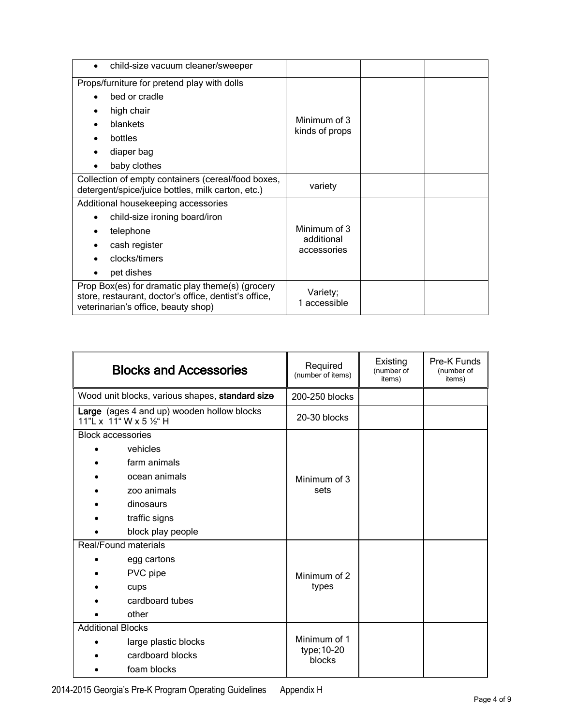| child-size vacuum cleaner/sweeper<br>$\bullet$                                                                                                   |                                           |  |
|--------------------------------------------------------------------------------------------------------------------------------------------------|-------------------------------------------|--|
| Props/furniture for pretend play with dolls<br>bed or cradle<br>high chair<br>blankets<br>bottles<br>diaper bag                                  | Minimum of 3<br>kinds of props            |  |
| baby clothes<br>Collection of empty containers (cereal/food boxes,<br>detergent/spice/juice bottles, milk carton, etc.)                          | variety                                   |  |
| Additional housekeeping accessories<br>child-size ironing board/iron<br>telephone<br>cash register<br>clocks/timers<br>pet dishes                | Minimum of 3<br>additional<br>accessories |  |
| Prop Box(es) for dramatic play theme(s) (grocery<br>store, restaurant, doctor's office, dentist's office,<br>veterinarian's office, beauty shop) | Variety;<br>1 accessible                  |  |

| <b>Blocks and Accessories</b>                                         | Required<br>(number of items) | Existing<br>(number of<br>items) | Pre-K Funds<br>(number of<br>items) |
|-----------------------------------------------------------------------|-------------------------------|----------------------------------|-------------------------------------|
| Wood unit blocks, various shapes, standard size                       | 200-250 blocks                |                                  |                                     |
| Large (ages 4 and up) wooden hollow blocks<br>11"L x 11" W x 5 1/2" H | 20-30 blocks                  |                                  |                                     |
| <b>Block accessories</b>                                              |                               |                                  |                                     |
| vehicles                                                              |                               |                                  |                                     |
| farm animals                                                          |                               |                                  |                                     |
| ocean animals                                                         | Minimum of 3                  |                                  |                                     |
| zoo animals                                                           | sets                          |                                  |                                     |
| dinosaurs                                                             |                               |                                  |                                     |
| traffic signs                                                         |                               |                                  |                                     |
| block play people                                                     |                               |                                  |                                     |
| Real/Found materials                                                  |                               |                                  |                                     |
| egg cartons                                                           |                               |                                  |                                     |
| PVC pipe                                                              | Minimum of 2                  |                                  |                                     |
| cups                                                                  | types                         |                                  |                                     |
| cardboard tubes                                                       |                               |                                  |                                     |
| other                                                                 |                               |                                  |                                     |
| <b>Additional Blocks</b>                                              |                               |                                  |                                     |
| large plastic blocks                                                  | Minimum of 1                  |                                  |                                     |
| cardboard blocks                                                      | type; 10-20<br>blocks         |                                  |                                     |
| foam blocks                                                           |                               |                                  |                                     |

ř.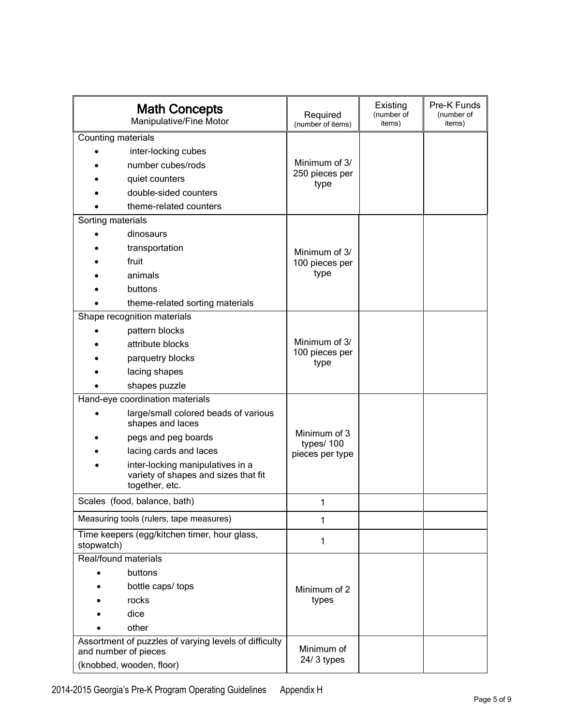| <b>Math Concepts</b><br>Manipulative/Fine Motor                                                           | Required<br>(number of items) | Existing<br>(number of<br>items) | Pre-K Funds<br>(number of<br>items) |
|-----------------------------------------------------------------------------------------------------------|-------------------------------|----------------------------------|-------------------------------------|
| Counting materials                                                                                        |                               |                                  |                                     |
| inter-locking cubes                                                                                       |                               |                                  |                                     |
| number cubes/rods                                                                                         | Minimum of 3/                 |                                  |                                     |
| quiet counters                                                                                            | 250 pieces per                |                                  |                                     |
| double-sided counters                                                                                     | type                          |                                  |                                     |
| theme-related counters                                                                                    |                               |                                  |                                     |
| Sorting materials                                                                                         |                               |                                  |                                     |
| dinosaurs                                                                                                 |                               |                                  |                                     |
| transportation                                                                                            | Minimum of 3/                 |                                  |                                     |
| fruit                                                                                                     | 100 pieces per                |                                  |                                     |
| animals                                                                                                   | type                          |                                  |                                     |
| buttons                                                                                                   |                               |                                  |                                     |
| theme-related sorting materials                                                                           |                               |                                  |                                     |
| Shape recognition materials                                                                               |                               |                                  |                                     |
| pattern blocks                                                                                            |                               |                                  |                                     |
| attribute blocks                                                                                          | Minimum of 3/                 |                                  |                                     |
| parquetry blocks                                                                                          | 100 pieces per<br>type        |                                  |                                     |
| lacing shapes                                                                                             |                               |                                  |                                     |
| shapes puzzle                                                                                             |                               |                                  |                                     |
| Hand-eye coordination materials                                                                           |                               |                                  |                                     |
| large/small colored beads of various<br>shapes and laces                                                  |                               |                                  |                                     |
| pegs and peg boards                                                                                       | Minimum of 3<br>types/100     |                                  |                                     |
| lacing cards and laces                                                                                    | pieces per type               |                                  |                                     |
| inter-locking manipulatives in a<br>variety of shapes and sizes that fit<br>together, etc.                |                               |                                  |                                     |
| Scales (food, balance, bath)                                                                              | 1                             |                                  |                                     |
| Measuring tools (rulers, tape measures)                                                                   | 1                             |                                  |                                     |
| Time keepers (egg/kitchen timer, hour glass,<br>stopwatch)                                                | 1                             |                                  |                                     |
| Real/found materials                                                                                      |                               |                                  |                                     |
| buttons                                                                                                   |                               |                                  |                                     |
| bottle caps/ tops                                                                                         | Minimum of 2                  |                                  |                                     |
| rocks                                                                                                     | types                         |                                  |                                     |
| dice                                                                                                      |                               |                                  |                                     |
| other                                                                                                     |                               |                                  |                                     |
| Assortment of puzzles of varying levels of difficulty<br>and number of pieces<br>(knobbed, wooden, floor) | Minimum of<br>24/ 3 types     |                                  |                                     |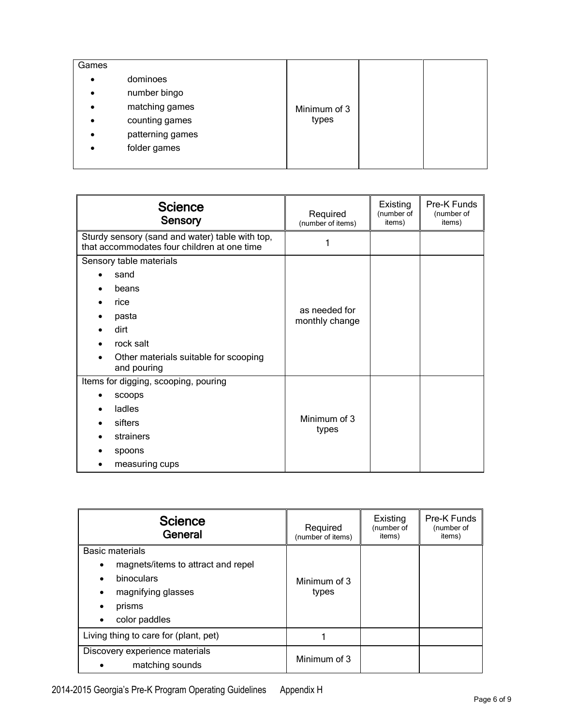| Games     |                  |              |  |
|-----------|------------------|--------------|--|
| $\bullet$ | dominoes         |              |  |
| $\bullet$ | number bingo     |              |  |
| $\bullet$ | matching games   | Minimum of 3 |  |
| $\bullet$ | counting games   | types        |  |
| $\bullet$ | patterning games |              |  |
| $\bullet$ | folder games     |              |  |
|           |                  |              |  |

| <b>Science</b><br>Sensory                                                                      | Required<br>(number of items)   | Existing<br>(number of<br>items) | Pre-K Funds<br>(number of<br>items) |
|------------------------------------------------------------------------------------------------|---------------------------------|----------------------------------|-------------------------------------|
| Sturdy sensory (sand and water) table with top,<br>that accommodates four children at one time | 1                               |                                  |                                     |
| Sensory table materials                                                                        |                                 |                                  |                                     |
| sand                                                                                           |                                 |                                  |                                     |
| beans                                                                                          |                                 |                                  |                                     |
| rice                                                                                           |                                 |                                  |                                     |
| pasta                                                                                          | as needed for<br>monthly change |                                  |                                     |
| dirt                                                                                           |                                 |                                  |                                     |
| rock salt                                                                                      |                                 |                                  |                                     |
| Other materials suitable for scooping<br>and pouring                                           |                                 |                                  |                                     |
| Items for digging, scooping, pouring                                                           |                                 |                                  |                                     |
| <b>SCOODS</b>                                                                                  |                                 |                                  |                                     |
| ladles                                                                                         |                                 |                                  |                                     |
| sifters                                                                                        | Minimum of 3                    |                                  |                                     |
| strainers                                                                                      | types                           |                                  |                                     |
| spoons                                                                                         |                                 |                                  |                                     |
| measuring cups                                                                                 |                                 |                                  |                                     |

| <b>Science</b><br>General                                                                                                                                             | Required<br>(number of items) | Existing<br>(number of<br>items) | Pre-K Funds<br>(number of<br>items) |
|-----------------------------------------------------------------------------------------------------------------------------------------------------------------------|-------------------------------|----------------------------------|-------------------------------------|
| Basic materials<br>magnets/items to attract and repel<br>$\bullet$<br>binoculars<br>٠<br>magnifying glasses<br>$\bullet$<br>prisms<br>٠<br>color paddles<br>$\bullet$ | Minimum of 3<br>types         |                                  |                                     |
| Living thing to care for (plant, pet)                                                                                                                                 |                               |                                  |                                     |
| Discovery experience materials<br>matching sounds<br>$\bullet$                                                                                                        | Minimum of 3                  |                                  |                                     |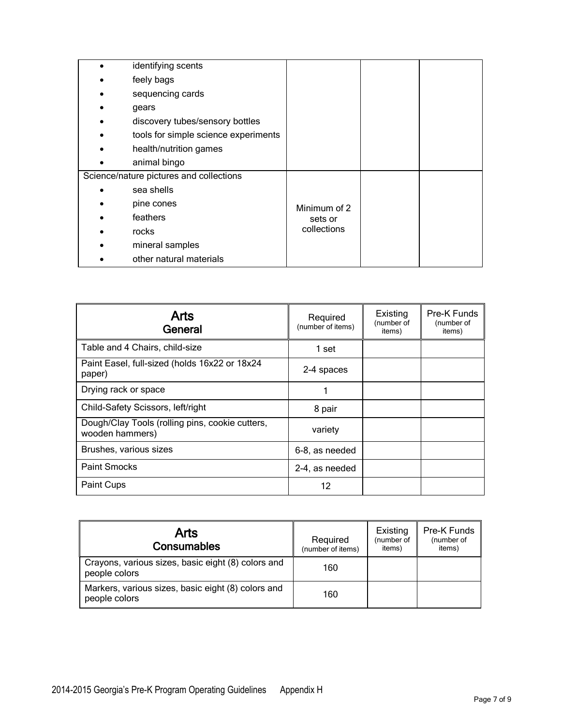| identifying scents                      |              |  |
|-----------------------------------------|--------------|--|
| feely bags                              |              |  |
| sequencing cards                        |              |  |
| gears                                   |              |  |
| discovery tubes/sensory bottles         |              |  |
| tools for simple science experiments    |              |  |
| health/nutrition games                  |              |  |
| animal bingo                            |              |  |
| Science/nature pictures and collections |              |  |
| sea shells                              |              |  |
| pine cones                              | Minimum of 2 |  |
| feathers                                | sets or      |  |
| rocks                                   | collections  |  |
| mineral samples                         |              |  |
| other natural materials                 |              |  |

| <b>Arts</b><br>General                                             | Required<br>(number of items) | Existing<br>(number of<br>items) | Pre-K Funds<br>(number of<br>items) |
|--------------------------------------------------------------------|-------------------------------|----------------------------------|-------------------------------------|
| Table and 4 Chairs, child-size                                     | 1 set                         |                                  |                                     |
| Paint Easel, full-sized (holds 16x22 or 18x24<br>paper)            | 2-4 spaces                    |                                  |                                     |
| Drying rack or space                                               |                               |                                  |                                     |
| Child-Safety Scissors, left/right                                  | 8 pair                        |                                  |                                     |
| Dough/Clay Tools (rolling pins, cookie cutters,<br>wooden hammers) | variety                       |                                  |                                     |
| Brushes, various sizes                                             | 6-8, as needed                |                                  |                                     |
| <b>Paint Smocks</b>                                                | 2-4, as needed                |                                  |                                     |
| Paint Cups                                                         | 12                            |                                  |                                     |

| Arts<br>Consumables                                                 | Required<br>(number of items) | Existing<br>(number of<br>items) | Pre-K Funds<br>(number of<br>items) |
|---------------------------------------------------------------------|-------------------------------|----------------------------------|-------------------------------------|
| Crayons, various sizes, basic eight (8) colors and<br>people colors | 160                           |                                  |                                     |
| Markers, various sizes, basic eight (8) colors and<br>people colors | 160                           |                                  |                                     |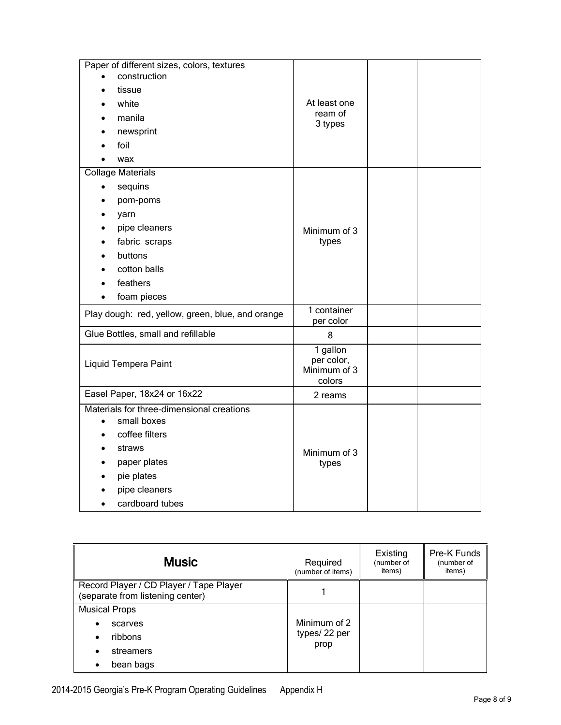| Paper of different sizes, colors, textures                                                                                          |                                                  |  |
|-------------------------------------------------------------------------------------------------------------------------------------|--------------------------------------------------|--|
| construction                                                                                                                        |                                                  |  |
| tissue                                                                                                                              |                                                  |  |
| white                                                                                                                               | At least one                                     |  |
| manila                                                                                                                              | ream of                                          |  |
| newsprint                                                                                                                           | 3 types                                          |  |
| foil                                                                                                                                |                                                  |  |
| wax                                                                                                                                 |                                                  |  |
| <b>Collage Materials</b>                                                                                                            |                                                  |  |
| sequins                                                                                                                             |                                                  |  |
| pom-poms                                                                                                                            |                                                  |  |
| yarn                                                                                                                                |                                                  |  |
| pipe cleaners                                                                                                                       | Minimum of 3                                     |  |
| fabric scraps                                                                                                                       | types                                            |  |
| buttons                                                                                                                             |                                                  |  |
| cotton balls                                                                                                                        |                                                  |  |
| feathers                                                                                                                            |                                                  |  |
| foam pieces                                                                                                                         |                                                  |  |
| Play dough: red, yellow, green, blue, and orange                                                                                    | 1 container<br>per color                         |  |
| Glue Bottles, small and refillable                                                                                                  | 8                                                |  |
| Liquid Tempera Paint                                                                                                                | 1 gallon<br>per color,<br>Minimum of 3<br>colors |  |
| Easel Paper, 18x24 or 16x22                                                                                                         | 2 reams                                          |  |
| Materials for three-dimensional creations<br>small boxes<br>coffee filters<br>straws<br>paper plates<br>pie plates<br>pipe cleaners | Minimum of 3<br>types                            |  |
| cardboard tubes                                                                                                                     |                                                  |  |

| <b>Music</b>                                                                | Required<br>(number of items) | Existing<br>(number of<br>items) | Pre-K Funds<br>(number of<br>items) |
|-----------------------------------------------------------------------------|-------------------------------|----------------------------------|-------------------------------------|
| Record Player / CD Player / Tape Player<br>(separate from listening center) |                               |                                  |                                     |
| <b>Musical Props</b>                                                        |                               |                                  |                                     |
| scarves<br>$\bullet$                                                        | Minimum of 2                  |                                  |                                     |
| ribbons<br>$\bullet$                                                        | types/22 per                  |                                  |                                     |
| streamers<br>$\bullet$                                                      | prop                          |                                  |                                     |
| bean bags                                                                   |                               |                                  |                                     |